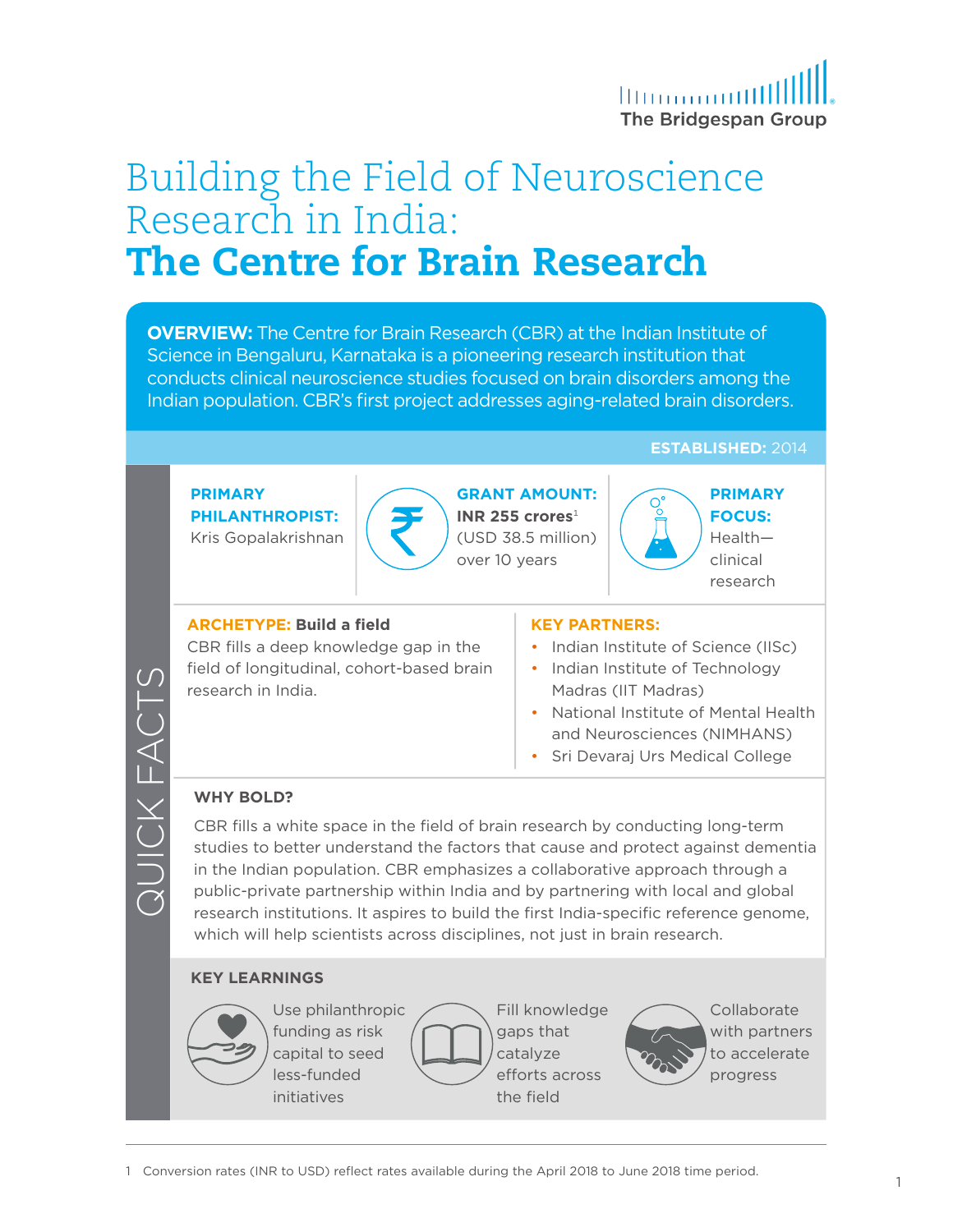

# Building the Field of Neuroscience Research in India: The Centre for Brain Research

**OVERVIEW:** The Centre for Brain Research (CBR) at the Indian Institute of Science in Bengaluru, Karnataka is a pioneering research institution that conducts clinical neuroscience studies focused on brain disorders among the Indian population. CBR's first project addresses aging-related brain disorders.

**ESTABLISHED:** 2014

#### **PRIMARY PHILANTHROPIST:**  Kris Gopalakrishnan



**GRANT AMOUNT: INR 255 crores**<sup>1</sup> (USD 38.5 million) over 10 years

#### **FOCUS:** Health—

clinical research

**PRIMARY** 

#### **ARCHETYPE: Build a field**

CBR fills a deep knowledge gap in the field of longitudinal, cohort-based brain research in India.

#### **KEY PARTNERS:**

- Indian Institute of Science (IISc)
- Indian Institute of Technology Madras (IIT Madras)
- National Institute of Mental Health and Neurosciences (NIMHANS)
- Sri Devaraj Urs Medical College

#### **WHY BOLD?**

QUICK FACTS

CBR fills a white space in the field of brain research by conducting long-term studies to better understand the factors that cause and protect against dementia in the Indian population. CBR emphasizes a collaborative approach through a public-private partnership within India and by partnering with local and global research institutions. It aspires to build the first India-specific reference genome, which will help scientists across disciplines, not just in brain research.

#### **KEY LEARNINGS**



funding as risk capital to seed less-funded initiatives



Fill knowledge gaps that catalyze efforts across the field



**Collaborate** with partners to accelerate progress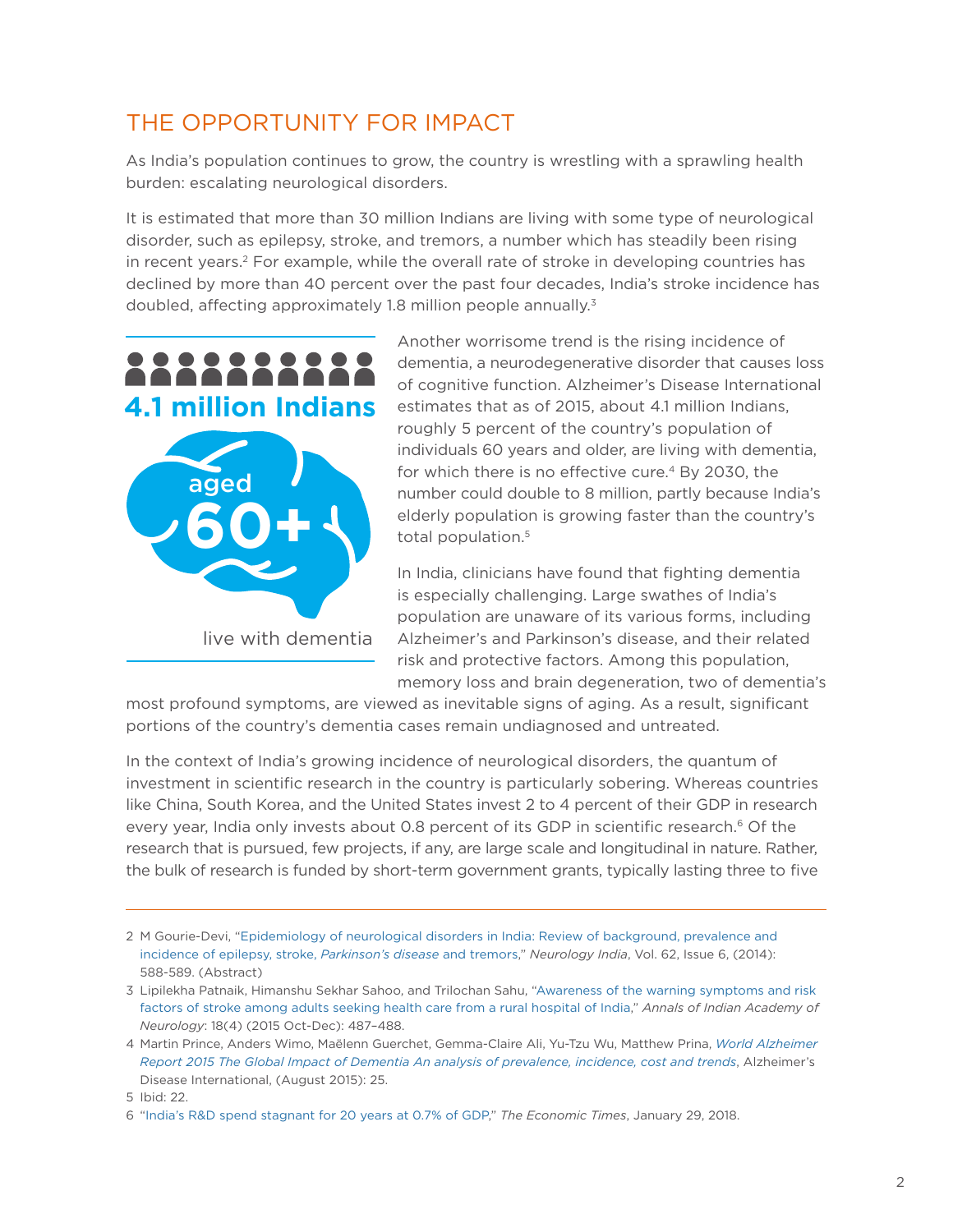### THE OPPORTUNITY FOR IMPACT

As India's population continues to grow, the country is wrestling with a sprawling health burden: escalating neurological disorders.

It is estimated that more than 30 million Indians are living with some type of neurological disorder, such as epilepsy, stroke, and tremors, a number which has steadily been rising in recent years.<sup>2</sup> For example, while the overall rate of stroke in developing countries has declined by more than 40 percent over the past four decades, India's stroke incidence has doubled, affecting approximately 1.8 million people annually.<sup>3</sup>



Another worrisome trend is the rising incidence of dementia, a neurodegenerative disorder that causes loss of cognitive function. Alzheimer's Disease International estimates that as of 2015, about 4.1 million Indians, roughly 5 percent of the country's population of individuals 60 years and older, are living with dementia, for which there is no effective cure.<sup>4</sup> By 2030, the number could double to 8 million, partly because India's elderly population is growing faster than the country's total population.<sup>5</sup>

In India, clinicians have found that fighting dementia is especially challenging. Large swathes of India's population are unaware of its various forms, including Alzheimer's and Parkinson's disease, and their related risk and protective factors. Among this population, memory loss and brain degeneration, two of dementia's

most profound symptoms, are viewed as inevitable signs of aging. As a result, significant portions of the country's dementia cases remain undiagnosed and untreated.

In the context of India's growing incidence of neurological disorders, the quantum of investment in scientific research in the country is particularly sobering. Whereas countries like China, South Korea, and the United States invest 2 to 4 percent of their GDP in research every year, India only invests about 0.8 percent of its GDP in scientific research.<sup>6</sup> Of the research that is pursued, few projects, if any, are large scale and longitudinal in nature. Rather, the bulk of research is funded by short-term government grants, typically lasting three to five

<sup>2</sup> M Gourie-Devi, "[Epidemiology of neurological disorders in India: Review of background, prevalence and](http://www.neurologyindia.com/article.asp?issn=0028-3886;year=2014;volume=62;issue=6;spage=588;epage=598;aulast=Gourie-Devi)  [incidence of epilepsy, stroke,](http://www.neurologyindia.com/article.asp?issn=0028-3886;year=2014;volume=62;issue=6;spage=588;epage=598;aulast=Gourie-Devi) *Parkinson's disease* and tremors," *Neurology India*, Vol. 62, Issue 6, (2014): 588-589. (Abstract)

<sup>3</sup> Lipilekha Patnaik, Himanshu Sekhar Sahoo, and Trilochan Sahu, ["Awareness of the warning symptoms and risk](https://www.ncbi.nlm.nih.gov/pmc/articles/PMC4683904/)  [factors of stroke among adults seeking health care from a rural hospital of India](https://www.ncbi.nlm.nih.gov/pmc/articles/PMC4683904/)," *Annals of Indian Academy of Neurology*: 18(4) (2015 Oct-Dec): 487–488.

<sup>4</sup> Martin Prince, Anders Wimo, Maëlenn Guerchet, Gemma-Claire Ali, Yu-Tzu Wu, Matthew Prina, *[World Alzheimer](https://www.alz.co.uk/research/WorldAlzheimerReport2015.pdf)  [Report 2015 The Global Impact of Dementia An analysis of prevalence, incidence, cost and trends](https://www.alz.co.uk/research/WorldAlzheimerReport2015.pdf)*, Alzheimer's Disease International, (August 2015): 25.

<sup>5</sup> Ibid: 22.

<sup>6</sup> "[India's R&D spend stagnant for 20 years at 0.7% of GDP,](https://economictimes.indiatimes.com/news/economy/finance/indias-rd-spend-stagnant-for-20-years-at-0-7-of-gdp/articleshow/62697271.cms)" *The Economic Times*, January 29, 2018.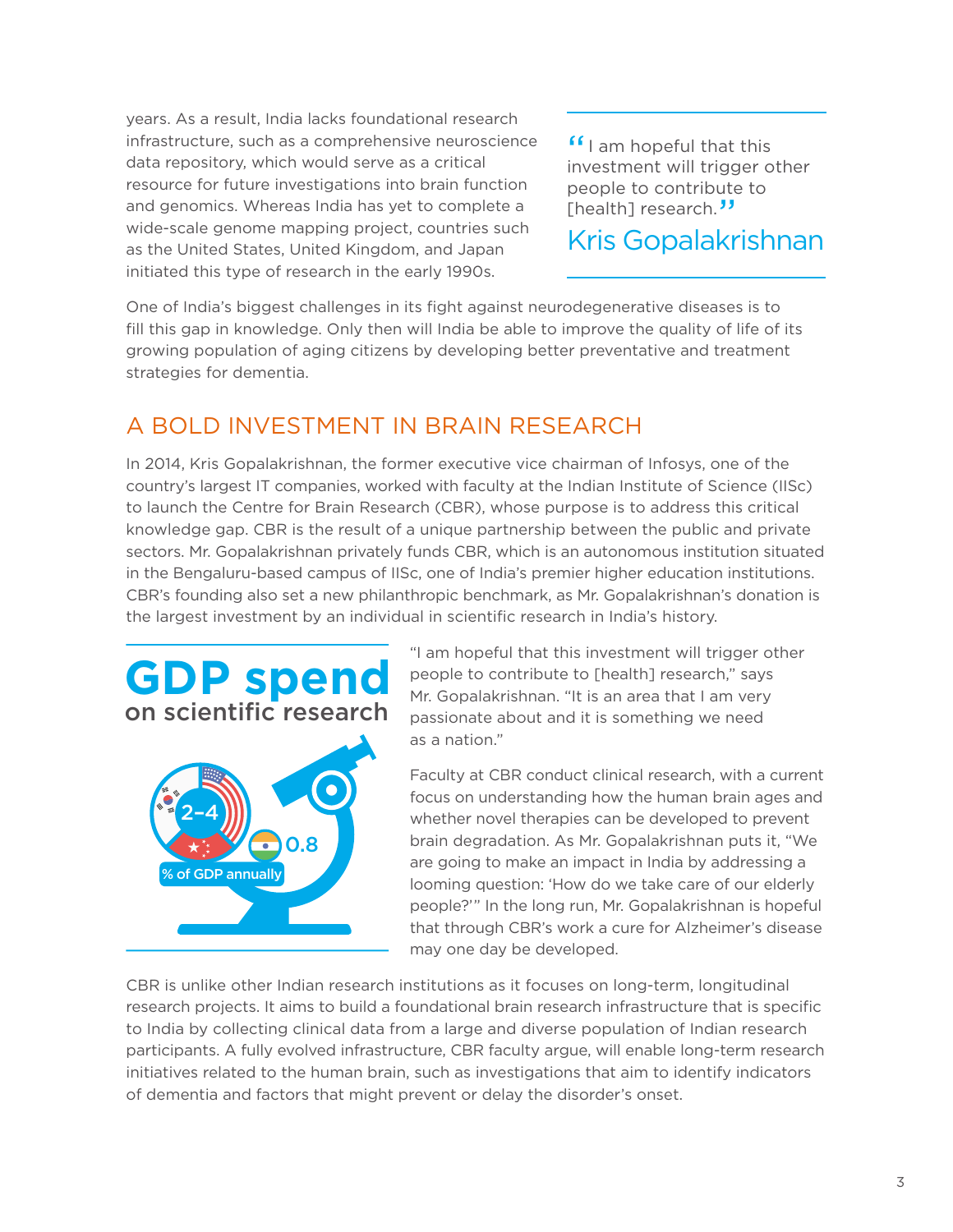years. As a result, India lacks foundational research infrastructure, such as a comprehensive neuroscience data repository, which would serve as a critical resource for future investigations into brain function and genomics. Whereas India has yet to complete a wide-scale genome mapping project, countries such as the United States, United Kingdom, and Japan initiated this type of research in the early 1990s.

**"** I am hopeful that this investment will trigger of investment will trigger other people to contribute to [health] research.<sup>33</sup>

Kris Gopalakrishnan

One of India's biggest challenges in its fight against neurodegenerative diseases is to fill this gap in knowledge. Only then will India be able to improve the quality of life of its growing population of aging citizens by developing better preventative and treatment strategies for dementia.

### A BOLD INVESTMENT IN BRAIN RESEARCH

In 2014, Kris Gopalakrishnan, the former executive vice chairman of Infosys, one of the country's largest IT companies, worked with faculty at the Indian Institute of Science (IISc) to launch the Centre for Brain Research (CBR), whose purpose is to address this critical knowledge gap. CBR is the result of a unique partnership between the public and private sectors. Mr. Gopalakrishnan privately funds CBR, which is an autonomous institution situated in the Bengaluru-based campus of IISc, one of India's premier higher education institutions. CBR's founding also set a new philanthropic benchmark, as Mr. Gopalakrishnan's donation is the largest investment by an individual in scientific research in India's history.





"I am hopeful that this investment will trigger other people to contribute to [health] research," says Mr. Gopalakrishnan. "It is an area that I am very passionate about and it is something we need as a nation."

Faculty at CBR conduct clinical research, with a current focus on understanding how the human brain ages and whether novel therapies can be developed to prevent brain degradation. As Mr. Gopalakrishnan puts it, "We are going to make an impact in India by addressing a looming question: 'How do we take care of our elderly people?'" In the long run, Mr. Gopalakrishnan is hopeful that through CBR's work a cure for Alzheimer's disease may one day be developed.

CBR is unlike other Indian research institutions as it focuses on long-term, longitudinal research projects. It aims to build a foundational brain research infrastructure that is specific to India by collecting clinical data from a large and diverse population of Indian research participants. A fully evolved infrastructure, CBR faculty argue, will enable long-term research initiatives related to the human brain, such as investigations that aim to identify indicators of dementia and factors that might prevent or delay the disorder's onset.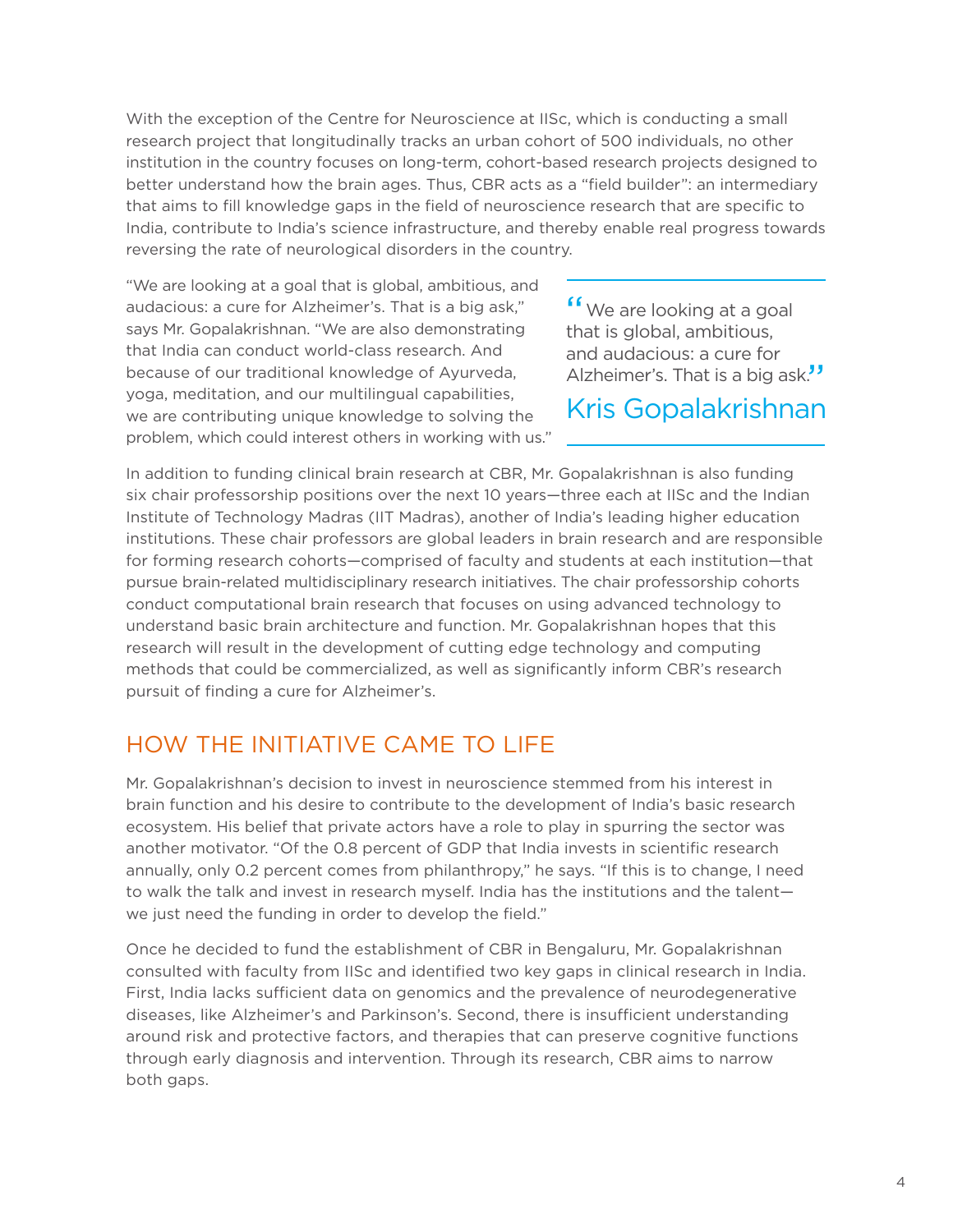With the exception of the Centre for Neuroscience at IISc, which is conducting a small research project that longitudinally tracks an urban cohort of 500 individuals, no other institution in the country focuses on long-term, cohort-based research projects designed to better understand how the brain ages. Thus, CBR acts as a "field builder": an intermediary that aims to fill knowledge gaps in the field of neuroscience research that are specific to India, contribute to India's science infrastructure, and thereby enable real progress towards reversing the rate of neurological disorders in the country.

"We are looking at a goal that is global, ambitious, and audacious: a cure for Alzheimer's. That is a big ask," says Mr. Gopalakrishnan. "We are also demonstrating that India can conduct world-class research. And because of our traditional knowledge of Ayurveda, yoga, meditation, and our multilingual capabilities, we are contributing unique knowledge to solving the problem, which could interest others in working with us."

<sup>"</sup> We are looking at a goal<br>that is global ambitious that is global, ambitious, and audacious: a cure for Alzheimer's. That is a big ask."

Kris Gopalakrishnan

In addition to funding clinical brain research at CBR, Mr. Gopalakrishnan is also funding six chair professorship positions over the next 10 years—three each at IISc and the Indian Institute of Technology Madras (IIT Madras), another of India's leading higher education institutions. These chair professors are global leaders in brain research and are responsible for forming research cohorts—comprised of faculty and students at each institution—that pursue brain-related multidisciplinary research initiatives. The chair professorship cohorts conduct computational brain research that focuses on using advanced technology to understand basic brain architecture and function. Mr. Gopalakrishnan hopes that this research will result in the development of cutting edge technology and computing methods that could be commercialized, as well as significantly inform CBR's research pursuit of finding a cure for Alzheimer's.

### HOW THE INITIATIVE CAME TO LIFE

Mr. Gopalakrishnan's decision to invest in neuroscience stemmed from his interest in brain function and his desire to contribute to the development of India's basic research ecosystem. His belief that private actors have a role to play in spurring the sector was another motivator. "Of the 0.8 percent of GDP that India invests in scientific research annually, only 0.2 percent comes from philanthropy," he says. "If this is to change, I need to walk the talk and invest in research myself. India has the institutions and the talent we just need the funding in order to develop the field."

Once he decided to fund the establishment of CBR in Bengaluru, Mr. Gopalakrishnan consulted with faculty from IISc and identified two key gaps in clinical research in India. First, India lacks sufficient data on genomics and the prevalence of neurodegenerative diseases, like Alzheimer's and Parkinson's. Second, there is insufficient understanding around risk and protective factors, and therapies that can preserve cognitive functions through early diagnosis and intervention. Through its research, CBR aims to narrow both gaps.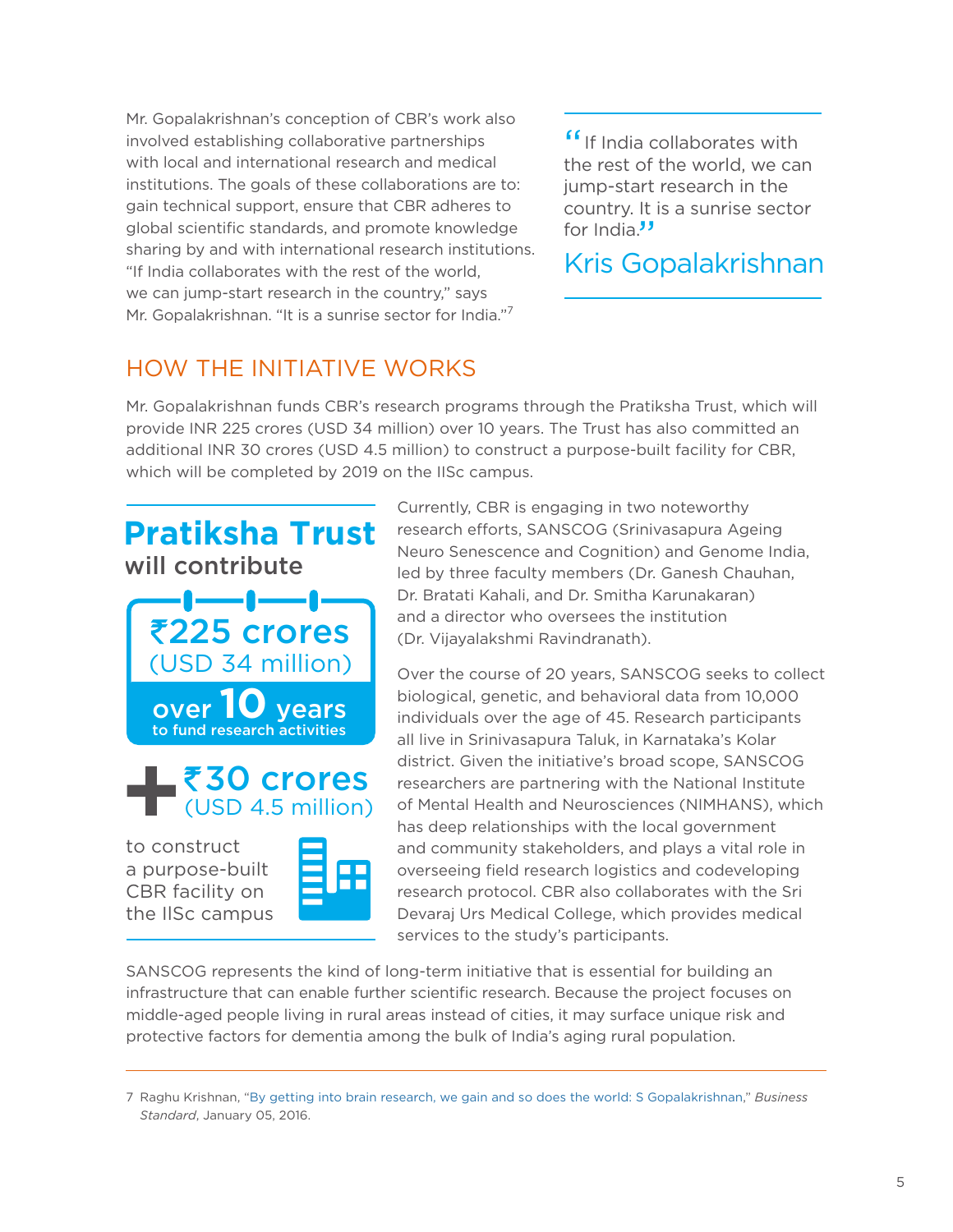Mr. Gopalakrishnan's conception of CBR's work also involved establishing collaborative partnerships with local and international research and medical institutions. The goals of these collaborations are to: gain technical support, ensure that CBR adheres to global scientific standards, and promote knowledge sharing by and with international research institutions. "If India collaborates with the rest of the world, we can jump-start research in the country," says Mr. Gopalakrishnan. "It is a sunrise sector for India."7

<sup>"</sup> If India collaborates with the rest of the world we can the rest of the world, we can jump-start research in the country. It is a sunrise sector for India."

### Kris Gopalakrishnan

### HOW THE INITIATIVE WORKS

Mr. Gopalakrishnan funds CBR's research programs through the Pratiksha Trust, which will provide INR 225 crores (USD 34 million) over 10 years. The Trust has also committed an additional INR 30 crores (USD 4.5 million) to construct a purpose-built facility for CBR, which will be completed by 2019 on the IISc campus.



the IlSc campus

Currently, CBR is engaging in two noteworthy research efforts, SANSCOG (Srinivasapura Ageing Neuro Senescence and Cognition) and Genome India, led by three faculty members (Dr. Ganesh Chauhan, Dr. Bratati Kahali, and Dr. Smitha Karunakaran) and a director who oversees the institution (Dr. Vijayalakshmi Ravindranath).

Over the course of 20 years, SANSCOG seeks to collect biological, genetic, and behavioral data from 10,000 individuals over the age of 45. Research participants all live in Srinivasapura Taluk, in Karnataka's Kolar district. Given the initiative's broad scope, SANSCOG researchers are partnering with the National Institute of Mental Health and Neurosciences (NIMHANS), which has deep relationships with the local government and community stakeholders, and plays a vital role in overseeing field research logistics and codeveloping research protocol. CBR also collaborates with the Sri Devaraj Urs Medical College, which provides medical services to the study's participants.

SANSCOG represents the kind of long-term initiative that is essential for building an infrastructure that can enable further scientific research. Because the project focuses on middle-aged people living in rural areas instead of cities, it may surface unique risk and protective factors for dementia among the bulk of India's aging rural population.

<sup>7</sup> Raghu Krishnan, ["By getting into brain research, we gain and so does the world](http://www.rediff.com/business/interview/interview-by-getting-into-brain-research-we-gain-and-so-does-the-world/20160105.htm): S Gopalakrishnan," *Business Standard*, January 05, 2016.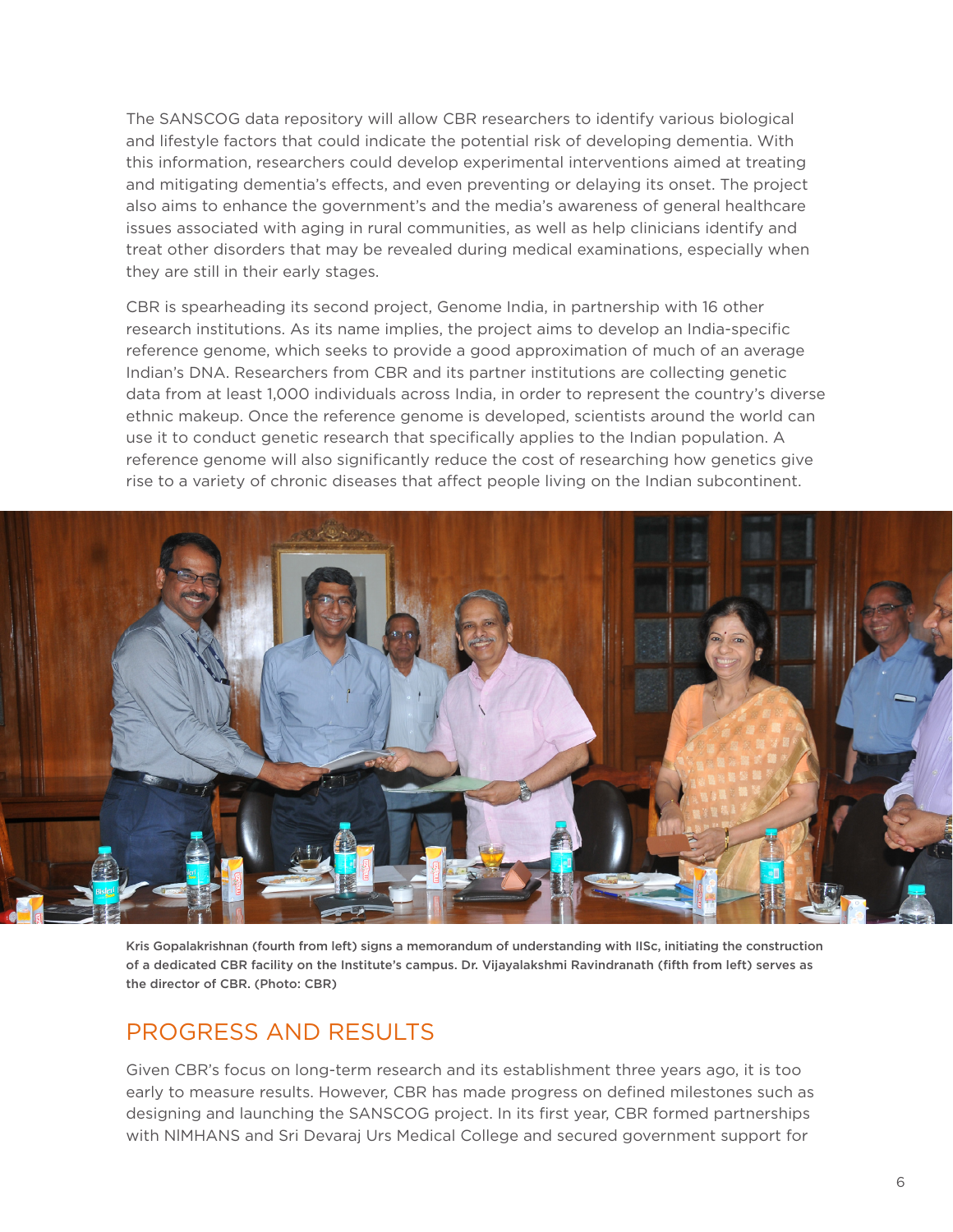The SANSCOG data repository will allow CBR researchers to identify various biological and lifestyle factors that could indicate the potential risk of developing dementia. With this information, researchers could develop experimental interventions aimed at treating and mitigating dementia's effects, and even preventing or delaying its onset. The project also aims to enhance the government's and the media's awareness of general healthcare issues associated with aging in rural communities, as well as help clinicians identify and treat other disorders that may be revealed during medical examinations, especially when they are still in their early stages.

CBR is spearheading its second project, Genome India, in partnership with 16 other research institutions. As its name implies, the project aims to develop an India-specific reference genome, which seeks to provide a good approximation of much of an average Indian's DNA. Researchers from CBR and its partner institutions are collecting genetic data from at least 1,000 individuals across India, in order to represent the country's diverse ethnic makeup. Once the reference genome is developed, scientists around the world can use it to conduct genetic research that specifically applies to the Indian population. A reference genome will also significantly reduce the cost of researching how genetics give rise to a variety of chronic diseases that affect people living on the Indian subcontinent.



Kris Gopalakrishnan (fourth from left) signs a memorandum of understanding with IISc, initiating the construction of a dedicated CBR facility on the Institute's campus. Dr. Vijayalakshmi Ravindranath (fifth from left) serves as the director of CBR. (Photo: CBR)

### PROGRESS AND RESULTS

Given CBR's focus on long-term research and its establishment three years ago, it is too early to measure results. However, CBR has made progress on defined milestones such as designing and launching the SANSCOG project. In its first year, CBR formed partnerships with NlMHANS and Sri Devaraj Urs Medical College and secured government support for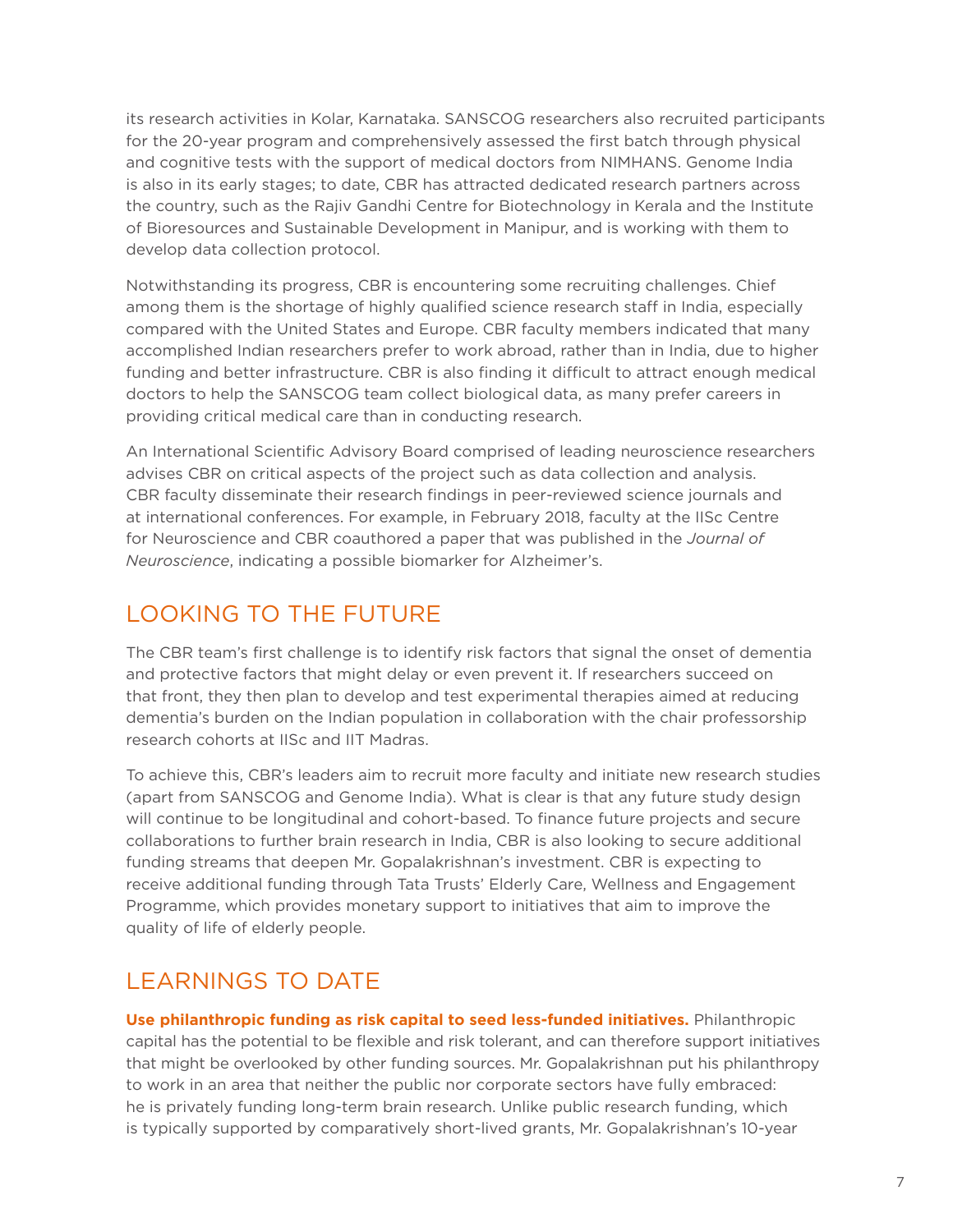its research activities in Kolar, Karnataka. SANSCOG researchers also recruited participants for the 20-year program and comprehensively assessed the first batch through physical and cognitive tests with the support of medical doctors from NIMHANS. Genome India is also in its early stages; to date, CBR has attracted dedicated research partners across the country, such as the Rajiv Gandhi Centre for Biotechnology in Kerala and the Institute of Bioresources and Sustainable Development in Manipur, and is working with them to develop data collection protocol.

Notwithstanding its progress, CBR is encountering some recruiting challenges. Chief among them is the shortage of highly qualified science research staff in India, especially compared with the United States and Europe. CBR faculty members indicated that many accomplished Indian researchers prefer to work abroad, rather than in India, due to higher funding and better infrastructure. CBR is also finding it difficult to attract enough medical doctors to help the SANSCOG team collect biological data, as many prefer careers in providing critical medical care than in conducting research.

An International Scientific Advisory Board comprised of leading neuroscience researchers advises CBR on critical aspects of the project such as data collection and analysis. CBR faculty disseminate their research findings in peer-reviewed science journals and at international conferences. For example, in February 2018, faculty at the IISc Centre for Neuroscience and CBR coauthored a paper that was published in the *Journal of Neuroscience*, indicating a possible biomarker for Alzheimer's.

### LOOKING TO THE FUTURE

The CBR team's first challenge is to identify risk factors that signal the onset of dementia and protective factors that might delay or even prevent it. If researchers succeed on that front, they then plan to develop and test experimental therapies aimed at reducing dementia's burden on the Indian population in collaboration with the chair professorship research cohorts at IISc and IIT Madras.

To achieve this, CBR's leaders aim to recruit more faculty and initiate new research studies (apart from SANSCOG and Genome India). What is clear is that any future study design will continue to be longitudinal and cohort-based. To finance future projects and secure collaborations to further brain research in India, CBR is also looking to secure additional funding streams that deepen Mr. Gopalakrishnan's investment. CBR is expecting to receive additional funding through Tata Trusts' Elderly Care, Wellness and Engagement Programme, which provides monetary support to initiatives that aim to improve the quality of life of elderly people.

## LEARNINGS TO DATE

**Use philanthropic funding as risk capital to seed less-funded initiatives.** Philanthropic capital has the potential to be flexible and risk tolerant, and can therefore support initiatives that might be overlooked by other funding sources. Mr. Gopalakrishnan put his philanthropy to work in an area that neither the public nor corporate sectors have fully embraced: he is privately funding long-term brain research. Unlike public research funding, which is typically supported by comparatively short-lived grants, Mr. Gopalakrishnan's 10-year